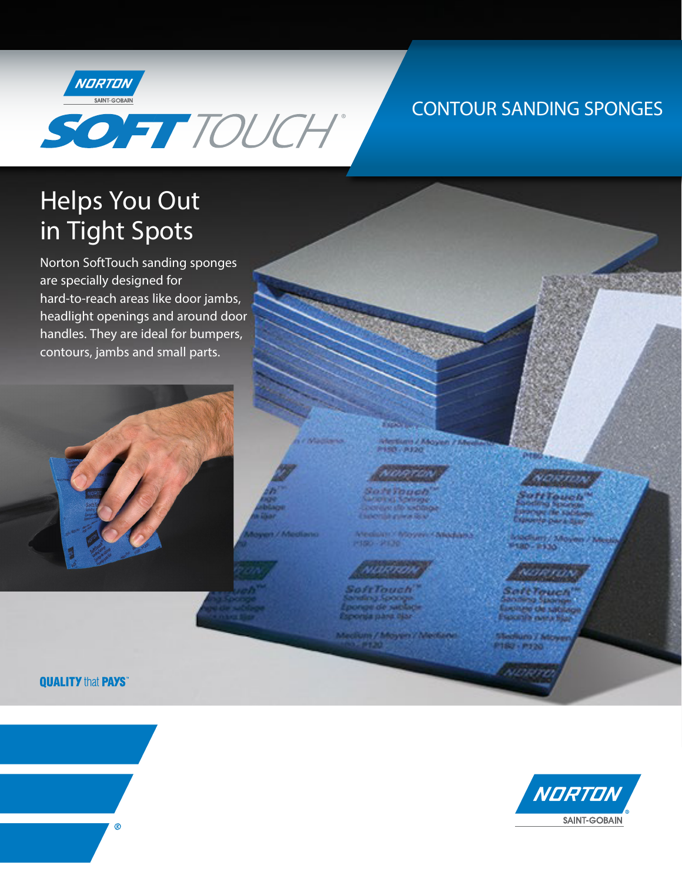

## **CONTOUR SANDING SPONGES**

# **Helps You Out** in Tight Spots

Norton SoftTouch sanding sponges are specially designed for hard-to-reach areas like door jambs, headlight openings and around door handles. They are ideal for bumpers, contours, jambs and small parts.



**QUALITY that PAYS**\*





**Web attacked the set** 

**Medialett / Mayyawi / Miledaletta** 2001-2002

Memburn / Magas 7 All **150 - P.I.N.** 

## oorane.

**STORY LO** 

<u>ang ri</u>

ht i buvol oval *Strongford* 

ofrTouch inding format **Mortela piazza dipar** 

Medium / Mayen / Mediano

0180-2530

Newman

## **CAPTERA**

dium / Moya 180 - 1920

**NATHER**